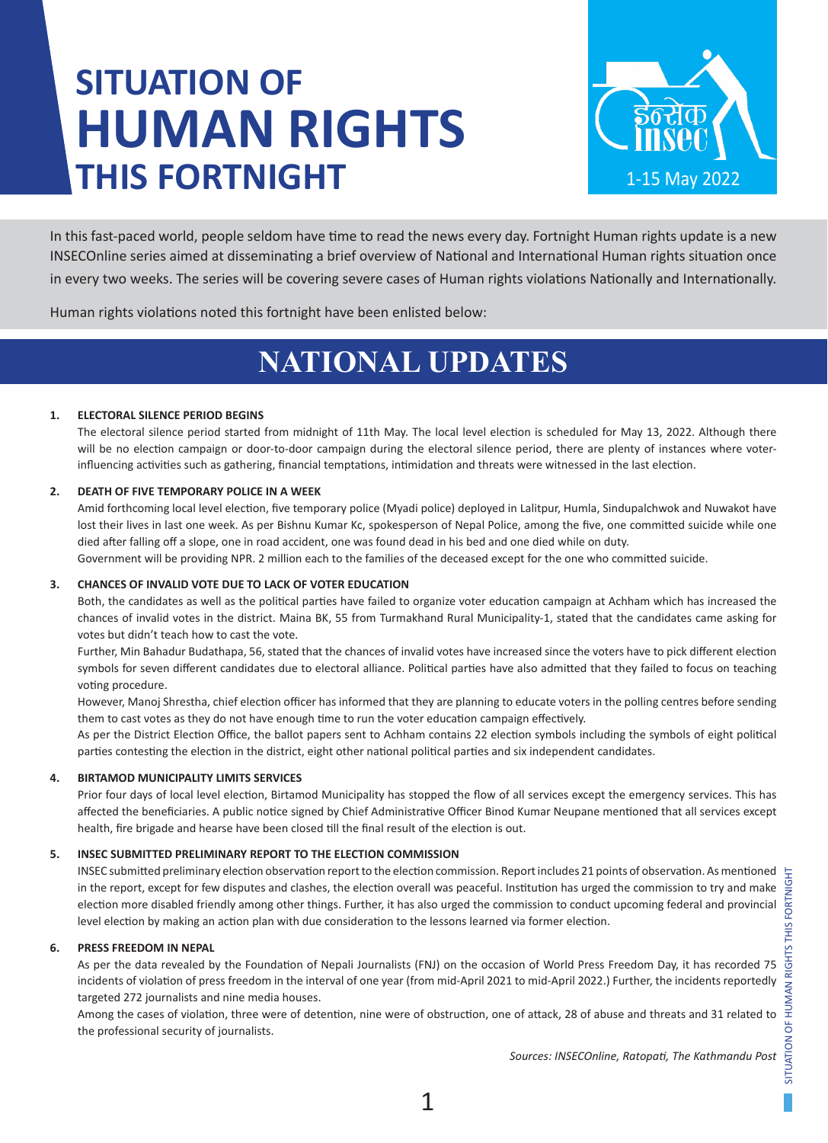# **SITUATION OF HUMAN RIGHTS THIS FORTNIGHT**



In this fast-paced world, people seldom have time to read the news every day. Fortnight Human rights update is a new INSECOnline series aimed at disseminating a brief overview of National and International Human rights situation once in every two weeks. The series will be covering severe cases of Human rights violations Nationally and Internationally.

Human rights violations noted this fortnight have been enlisted below:

# **NATIONAL UPDATES**

### **1. ELECTORAL SILENCE PERIOD BEGINS**

The electoral silence period started from midnight of 11th May. The local level election is scheduled for May 13, 2022. Although there will be no election campaign or door-to-door campaign during the electoral silence period, there are plenty of instances where voterinfluencing activities such as gathering, financial temptations, intimidation and threats were witnessed in the last election.

### **2. DEATH OF FIVE TEMPORARY POLICE IN A WEEK**

Amid forthcoming local level election, five temporary police (Myadi police) deployed in Lalitpur, Humla, Sindupalchwok and Nuwakot have lost their lives in last one week. As per Bishnu Kumar Kc, spokesperson of Nepal Police, among the five, one committed suicide while one died after falling off a slope, one in road accident, one was found dead in his bed and one died while on duty.

Government will be providing NPR. 2 million each to the families of the deceased except for the one who committed suicide.

## **3. CHANCES OF INVALID VOTE DUE TO LACK OF VOTER EDUCATION**

Both, the candidates as well as the political parties have failed to organize voter education campaign at Achham which has increased the chances of invalid votes in the district. Maina BK, 55 from Turmakhand Rural Municipality-1, stated that the candidates came asking for votes but didn't teach how to cast the vote.

Further, Min Bahadur Budathapa, 56, stated that the chances of invalid votes have increased since the voters have to pick different election symbols for seven different candidates due to electoral alliance. Political parties have also admitted that they failed to focus on teaching voting procedure.

However, Manoj Shrestha, chief election officer has informed that they are planning to educate voters in the polling centres before sending them to cast votes as they do not have enough time to run the voter education campaign effectively.

As per the District Election Office, the ballot papers sent to Achham contains 22 election symbols including the symbols of eight political parties contesting the election in the district, eight other national political parties and six independent candidates.

### **4. BIRTAMOD MUNICIPALITY LIMITS SERVICES**

Prior four days of local level election, Birtamod Municipality has stopped the flow of all services except the emergency services. This has affected the beneficiaries. A public notice signed by Chief Administrative Officer Binod Kumar Neupane mentioned that all services except health, fire brigade and hearse have been closed till the final result of the election is out.

### **5. INSEC SUBMITTED PRELIMINARY REPORT TO THE ELECTION COMMISSION**

INSEC submitted preliminary election observation report to the election commission. Report includes 21 points of observation. As mentioned  $\mp$ in the report, except for few disputes and clashes, the election overall was peaceful. Institution has urged the commission to try and make FORTI election more disabled friendly among other things. Further, it has also urged the commission to conduct upcoming federal and provincial level election by making an action plan with due consideration to the lessons learned via former election. RIGHTS THIS

### **6. PRESS FREEDOM IN NEPAL**

As per the data revealed by the Foundation of Nepali Journalists (FNJ) on the occasion of World Press Freedom Day, it has recorded 75 incidents of violation of press freedom in the interval of one year (from mid-April 2021 to mid-April 2022.) Further, the incidents reportedly targeted 272 journalists and nine media houses.

Among the cases of violation, three were of detention, nine were of obstruction, one of attack, 28 of abuse and threats and 31 related to the professional security of journalists.

*Sources: INSECOnline, Ratopati, The Kathmandu Post*

SITUATION OF HUMAN RIGHTS THIS FORTNIGHT

SITUATION OF HUMAN